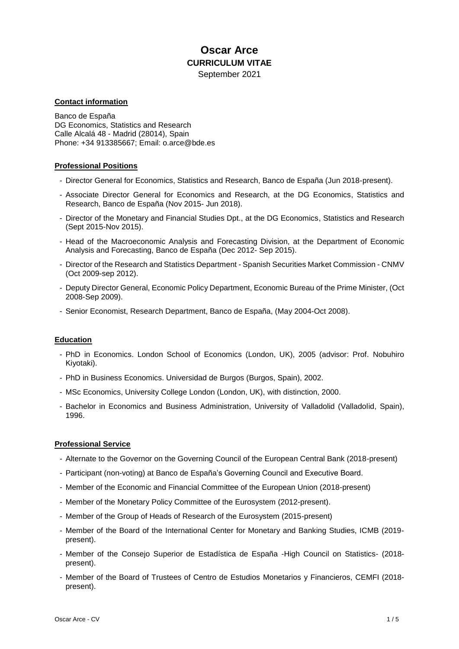# **Oscar Arce CURRICULUM VITAE**

September 2021

# **Contact information**

Banco de España DG Economics, Statistics and Research Calle Alcalá 48 - Madrid (28014), Spain Phone: +34 913385667; Email: o.arce@bde.es

# **Professional Positions**

- Director General for Economics, Statistics and Research, Banco de España (Jun 2018-present).
- Associate Director General for Economics and Research, at the DG Economics, Statistics and Research, Banco de España (Nov 2015- Jun 2018).
- Director of the Monetary and Financial Studies Dpt., at the DG Economics, Statistics and Research (Sept 2015-Nov 2015).
- Head of the Macroeconomic Analysis and Forecasting Division, at the Department of Economic Analysis and Forecasting, Banco de España (Dec 2012- Sep 2015).
- Director of the Research and Statistics Department Spanish Securities Market Commission CNMV (Oct 2009-sep 2012).
- Deputy Director General, Economic Policy Department, Economic Bureau of the Prime Minister, (Oct 2008-Sep 2009).
- Senior Economist, Research Department, Banco de España, (May 2004-Oct 2008).

## **Education**

- PhD in Economics. London School of Economics (London, UK), 2005 (advisor: Prof. Nobuhiro Kiyotaki).
- PhD in Business Economics. Universidad de Burgos (Burgos, Spain), 2002.
- MSc Economics, University College London (London, UK), with distinction, 2000.
- Bachelor in Economics and Business Administration, University of Valladolid (Valladolid, Spain), 1996.

## **Professional Service**

- Alternate to the Governor on the Governing Council of the European Central Bank (2018-present)
- Participant (non-voting) at Banco de España's Governing Council and Executive Board.
- Member of the Economic and Financial Committee of the European Union (2018-present)
- Member of the Monetary Policy Committee of the Eurosystem (2012-present).
- Member of the Group of Heads of Research of the Eurosystem (2015-present)
- Member of the Board of the International Center for Monetary and Banking Studies, ICMB (2019 present).
- Member of the Consejo Superior de Estadística de España -High Council on Statistics- (2018 present).
- Member of the Board of Trustees of Centro de Estudios Monetarios y Financieros, CEMFI (2018 present).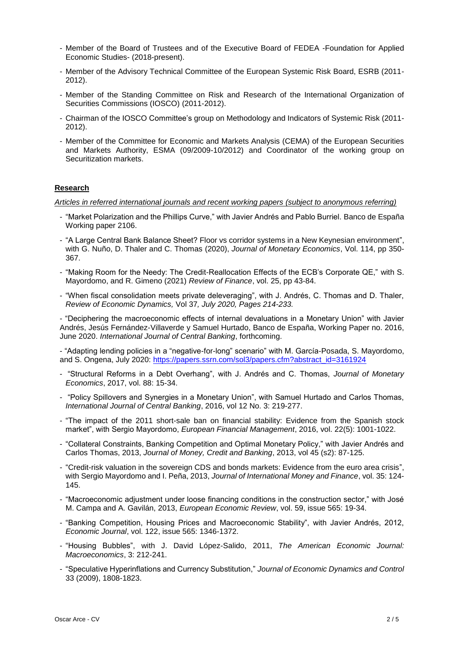- Member of the Board of Trustees and of the Executive Board of FEDEA -Foundation for Applied Economic Studies- (2018-present).
- Member of the Advisory Technical Committee of the European Systemic Risk Board, ESRB (2011- 2012).
- Member of the Standing Committee on Risk and Research of the International Organization of Securities Commissions (IOSCO) (2011-2012).
- Chairman of the IOSCO Committee's group on Methodology and Indicators of Systemic Risk (2011- 2012).
- Member of the Committee for Economic and Markets Analysis (CEMA) of the European Securities and Markets Authority, ESMA (09/2009-10/2012) and Coordinator of the working group on Securitization markets.

# **Research**

*Articles in referred international journals and recent working papers (subject to anonymous referring)* 

- "Market Polarization and the Phillips Curve," with Javier Andrés and Pablo Burriel. Banco de España Working paper 2106.
- "A Large Central Bank Balance Sheet? Floor vs corridor systems in a New Keynesian environment", with G. Nuño, D. Thaler and C. Thomas (2020), *Journal of Monetary Economics*, Vol. 114, pp 350- 367.
- "Making Room for the Needy: The Credit-Reallocation Effects of the ECB's Corporate QE," with S. Mayordomo, and R. Gimeno (2021) *Review of Finance*, vol. 25, pp 43-84.
- "When fiscal consolidation meets private deleveraging", with J. Andrés, C. Thomas and D. Thaler, *Review of Economic Dynamics,* [Vol 37](https://www.sciencedirect.com/science/journal/10942025/37/supp/C)*, July 2020, Pages 214-233.*

- "Deciphering the macroeconomic effects of internal devaluations in a Monetary Union" with Javier Andrés, Jesús Fernández-Villaverde y Samuel Hurtado, Banco de España, Working Paper no. 2016, June 2020. *International Journal of Central Banking*, forthcoming.

- "Adapting lending policies in a "negative-for-long" scenario" with M. García-Posada, S. Mayordomo, and S. Ongena, July 2020: [https://papers.ssrn.com/sol3/papers.cfm?abstract\\_id=3161924](https://papers.ssrn.com/sol3/papers.cfm?abstract_id=3161924)

- "Structural Reforms in a Debt Overhang", with J. Andrés and C. Thomas, *Journal of Monetary Economics*, 2017, vol. 88: 15-34.
- "Policy Spillovers and Synergies in a Monetary Union", with Samuel Hurtado and Carlos Thomas, *International Journal of Central Banking*, 2016, vol 12 No. 3: 219-277.
- "The impact of the 2011 short-sale ban on financial stability: Evidence from the Spanish stock market", with Sergio Mayordomo, *European Financial Management*, 2016, vol. 22(5): 1001-1022.
- "Collateral Constraints, Banking Competition and Optimal Monetary Policy," with Javier Andrés and Carlos Thomas, 2013, *Journal of Money, Credit and Banking*, 2013, vol 45 (s2): 87-125.
- "Credit-risk valuation in the sovereign CDS and bonds markets: Evidence from the euro area crisis", with Sergio Mayordomo and I. Peña, 2013, *Journal of International Money and Finance*, vol. 35: 124- 145.
- "Macroeconomic adjustment under loose financing conditions in the construction sector," with José M. Campa and A. Gavilán, 2013, *European Economic Review*, vol. 59, issue 565: 19-34.
- "Banking Competition, Housing Prices and Macroeconomic Stability", with Javier Andrés, 2012, *Economic Journal*, vol. 122, issue 565: 1346-1372.
- "Housing Bubbles", with J. David López-Salido, 2011, *The American Economic Journal: Macroeconomics*, 3: 212-241.
- "Speculative Hyperinflations and Currency Substitution," *Journal of Economic Dynamics and Control*  33 (2009), 1808-1823.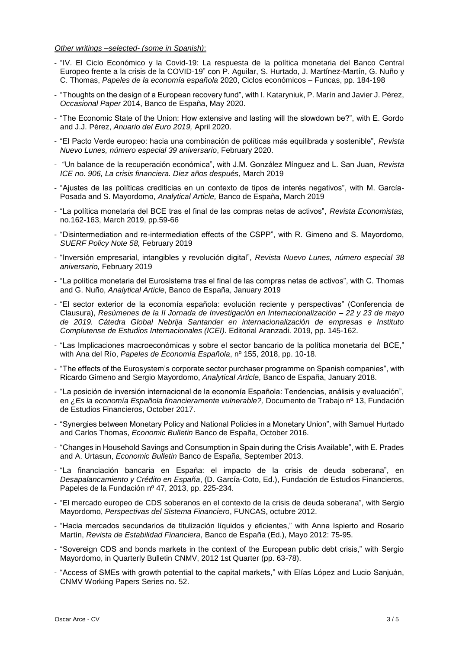# *Other writings –selected- (some in Spanish)*:

- "IV. El Ciclo Económico y la Covid-19: La respuesta de la política monetaria del Banco Central Europeo frente a la crisis de la COVID-19" con P. Aguilar, S. Hurtado, J. Martínez-Martín, G. Nuño y C. Thomas, *Papeles de la economía española* 2020, Ciclos económicos – Funcas, pp. 184-198
- "Thoughts on the design of a European recovery fund", with I. Kataryniuk, P. Marín and Javier J. Pérez, *Occasional Paper* 2014, Banco de España, May 2020.
- "The Economic State of the Union: How extensive and lasting will the slowdown be?", with E. Gordo and J.J. Pérez, *Anuario del Euro 2019,* April 2020.
- "El Pacto Verde europeo: hacia una combinación de políticas más equilibrada y sostenible", *Revista Nuevo Lunes, número especial 39 aniversario*, February 2020.
- "Un balance de la recuperación económica", with J.M. González Mínguez and L. San Juan, *Revista ICE no. 906, La crisis financiera. Diez años después,* March 2019
- "Ajustes de las políticas crediticias en un contexto de tipos de interés negativos", with M. García-Posada and S. Mayordomo, *Analytical Article,* Banco de España, March 2019
- "La política monetaria del BCE tras el final de las compras netas de activos", *Revista Economistas,* no.162-163, March 2019, pp.59-66
- "Disintermediation and re-intermediation effects of the CSPP", with R. Gimeno and S. Mayordomo, *SUERF Policy Note 58,* February 2019
- "Inversión empresarial, intangibles y revolución digital", *Revista Nuevo Lunes, número especial 38 aniversario,* February 2019
- "La política monetaria del Eurosistema tras el final de las compras netas de activos", with C. Thomas and G. Nuño, *Analytical Article*, Banco de España, January 2019
- "El sector exterior de la economía española: evolución reciente y perspectivas" (Conferencia de Clausura), *Resúmenes de la II Jornada de Investigación en Internacionalización – 22 y 23 de mayo de 2019. Cátedra Global Nebrija Santander en internacionalización de empresas e Instituto Complutense de Estudios Internacionales (ICEI)*. Editorial Aranzadi. 2019, pp. 145-162.
- "Las Implicaciones macroeconómicas y sobre el sector bancario de la política monetaria del BCE," with Ana del Río, *Papeles de Economía Española*, nº 155, 2018, pp. 10-18.
- "The effects of the Eurosystem's corporate sector purchaser programme on Spanish companies", with Ricardo Gimeno and Sergio Mayordomo, *Analytical Article*, Banco de España, January 2018.
- "La posición de inversión internacional de la economía Española: Tendencias, análisis y evaluación", en *¿Es la economía Española financieramente vulnerable?,* Documento de Trabajo nº 13, Fundación de Estudios Financieros, October 2017.
- "Synergies between Monetary Policy and National Policies in a Monetary Union", with Samuel Hurtado and Carlos Thomas, *Economic Bulletin* Banco de España, October 2016.
- "Changes in Household Savings and Consumption in Spain during the Crisis Available", with E. Prades and A. Urtasun, *Economic Bulletin* Banco de España, September 2013.
- "La financiación bancaria en España: el impacto de la crisis de deuda soberana", en *Desapalancamiento y Crédito en España*, (D. García-Coto, Ed.), Fundación de Estudios Financieros, Papeles de la Fundación nº 47, 2013, pp. 225-234.
- "El mercado europeo de CDS soberanos en el contexto de la crisis de deuda soberana", with Sergio Mayordomo, *Perspectivas del Sistema Financiero*, FUNCAS, octubre 2012.
- "Hacia mercados secundarios de titulización líquidos y eficientes," with Anna Ispierto and Rosario Martín, *Revista de Estabilidad Financiera*, Banco de España (Ed.), Mayo 2012: 75-95.
- "Sovereign CDS and bonds markets in the context of the European public debt crisis," with Sergio Mayordomo, in Quarterly Bulletin CNMV, 2012 1st Quarter (pp. 63-78).
- "Access of SMEs with growth potential to the capital markets," with Elías López and Lucio Sanjuán, CNMV Working Papers Series no. 52.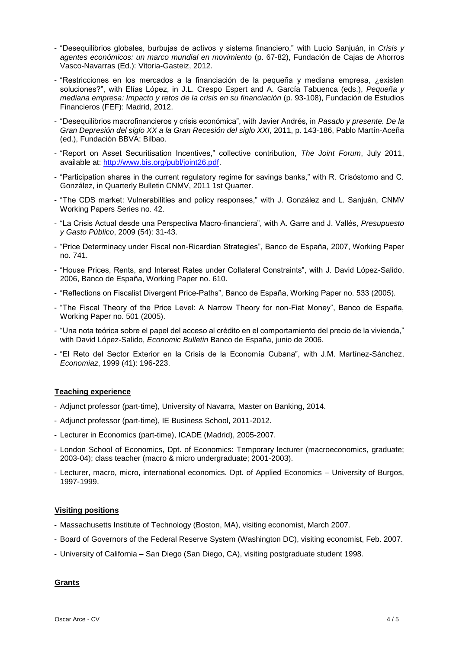- "Desequilibrios globales, burbujas de activos y sistema financiero," with Lucio Sanjuán, in *Crisis y agentes económicos: un marco mundial en movimiento* (p. 67-82), Fundación de Cajas de Ahorros Vasco-Navarras (Ed.): Vitoria-Gasteiz, 2012.
- "Restricciones en los mercados a la financiación de la pequeña y mediana empresa, ¿existen soluciones?", with Elías López, in J.L. Crespo Espert and A. García Tabuenca (eds.), *Pequeña y mediana empresa: Impacto y retos de la crisis en su financiación* (p. 93-108), Fundación de Estudios Financieros (FEF): Madrid, 2012.
- "Desequilibrios macrofinancieros y crisis económica", with Javier Andrés, in *Pasado y presente. De la Gran Depresión del siglo XX a la Gran Recesión del siglo XXI*, 2011, p. 143-186, Pablo Martín-Aceña (ed.), Fundación BBVA: Bilbao.
- "Report on Asset Securitisation Incentives," collective contribution, *The Joint Forum*, July 2011, available at: [http://www.bis.org/publ/joint26.pdf.](http://www.bis.org/publ/joint26.pdf)
- "Participation shares in the current regulatory regime for savings banks," with R. Crisóstomo and C. González, in Quarterly Bulletin CNMV, 2011 1st Quarter.
- "The CDS market: Vulnerabilities and policy responses," with J. González and L. Sanjuán, CNMV Working Papers Series no. 42.
- "La Crisis Actual desde una Perspectiva Macro-financiera", with A. Garre and J. Vallés, *Presupuesto y Gasto Público*, 2009 (54): 31-43.
- "Price Determinacy under Fiscal non-Ricardian Strategies", Banco de España, 2007, Working Paper no. 741.
- "House Prices, Rents, and Interest Rates under Collateral Constraints", with J. David López-Salido, 2006, Banco de España, Working Paper no. 610.
- "Reflections on Fiscalist Divergent Price-Paths", Banco de España, Working Paper no. 533 (2005).
- "The Fiscal Theory of the Price Level: A Narrow Theory for non-Fiat Money", Banco de España, Working Paper no. 501 (2005).
- "Una nota teórica sobre el papel del acceso al crédito en el comportamiento del precio de la vivienda," with David López-Salido, *Economic Bulletin* Banco de España, junio de 2006.
- "El Reto del Sector Exterior en la Crisis de la Economía Cubana", with J.M. Martínez-Sánchez, *Economiaz*, 1999 (41): 196-223.

## **Teaching experience**

- Adjunct professor (part-time), University of Navarra, Master on Banking, 2014.
- Adjunct professor (part-time), IE Business School, 2011-2012.
- Lecturer in Economics (part-time), ICADE (Madrid), 2005-2007.
- London School of Economics, Dpt. of Economics: Temporary lecturer (macroeconomics, graduate; 2003-04); class teacher (macro & micro undergraduate; 2001-2003).
- Lecturer, macro, micro, international economics. Dpt. of Applied Economics University of Burgos, 1997-1999.

#### **Visiting positions**

- Massachusetts Institute of Technology (Boston, MA), visiting economist, March 2007.
- Board of Governors of the Federal Reserve System (Washington DC), visiting economist, Feb. 2007.
- University of California San Diego (San Diego, CA), visiting postgraduate student 1998.

## **Grants**